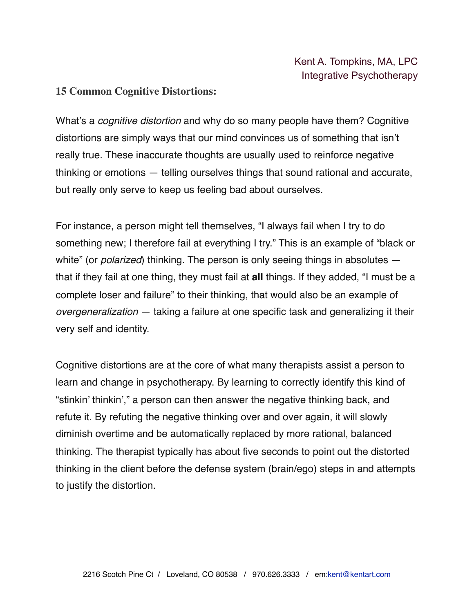#### **15 Common Cognitive Distortions:**

What's a *cognitive distortion* and why do so many people have them? Cognitive distortions are simply ways that our mind convinces us of something that isn't really true. These inaccurate thoughts are usually used to reinforce negative thinking or emotions — telling ourselves things that sound rational and accurate, but really only serve to keep us feeling bad about ourselves.

For instance, a person might tell themselves, "I always fail when I try to do something new; I therefore fail at everything I try." This is an example of "black or white" (or *polarized*) thinking. The person is only seeing things in absolutes that if they fail at one thing, they must fail at **all** things. If they added, "I must be a complete loser and failure" to their thinking, that would also be an example of *overgeneralization* — taking a failure at one specific task and generalizing it their very self and identity.

Cognitive distortions are at the core of what many therapists assist a person to learn and change in psychotherapy. By learning to correctly identify this kind of "stinkin' thinkin'," a person can then answer the negative thinking back, and refute it. By refuting the negative thinking over and over again, it will slowly diminish overtime and be automatically replaced by more rational, balanced thinking. The therapist typically has about five seconds to point out the distorted thinking in the client before the defense system (brain/ego) steps in and attempts to justify the distortion.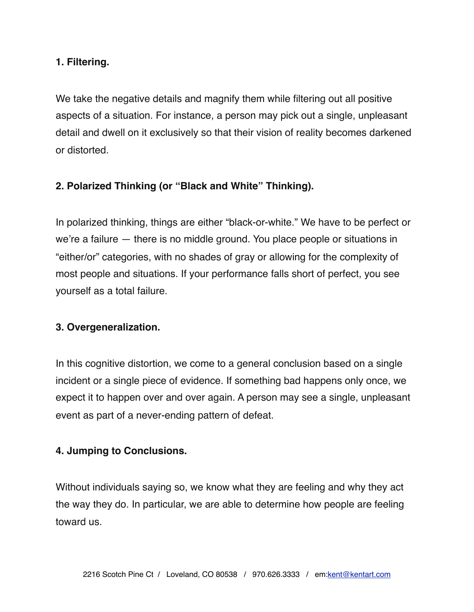### **1. Filtering.**

We take the negative details and magnify them while filtering out all positive aspects of a situation. For instance, a person may pick out a single, unpleasant detail and dwell on it exclusively so that their vision of reality becomes darkened or distorted.

### **2. Polarized Thinking (or "Black and White" Thinking).**

In polarized thinking, things are either "black-or-white." We have to be perfect or we're a failure — there is no middle ground. You place people or situations in "either/or" categories, with no shades of gray or allowing for the complexity of most people and situations. If your performance falls short of perfect, you see yourself as a total failure.

### **3. Overgeneralization.**

In this cognitive distortion, we come to a general conclusion based on a single incident or a single piece of evidence. If something bad happens only once, we expect it to happen over and over again. A person may see a single, unpleasant event as part of a never-ending pattern of defeat.

### **4. Jumping to Conclusions.**

Without individuals saying so, we know what they are feeling and why they act the way they do. In particular, we are able to determine how people are feeling toward us.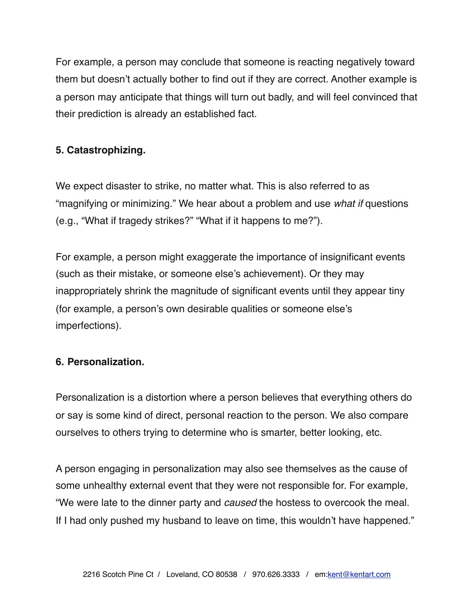For example, a person may conclude that someone is reacting negatively toward them but doesn't actually bother to find out if they are correct. Another example is a person may anticipate that things will turn out badly, and will feel convinced that their prediction is already an established fact.

# **5. Catastrophizing.**

We expect disaster to strike, no matter what. This is also referred to as "magnifying or minimizing." We hear about a problem and use *what if* questions (e.g., "What if tragedy strikes?" "What if it happens to me?").

For example, a person might exaggerate the importance of insignificant events (such as their mistake, or someone else's achievement). Or they may inappropriately shrink the magnitude of significant events until they appear tiny (for example, a person's own desirable qualities or someone else's imperfections).

# **6. Personalization.**

Personalization is a distortion where a person believes that everything others do or say is some kind of direct, personal reaction to the person. We also compare ourselves to others trying to determine who is smarter, better looking, etc.

A person engaging in personalization may also see themselves as the cause of some unhealthy external event that they were not responsible for. For example, "We were late to the dinner party and *caused* the hostess to overcook the meal. If I had only pushed my husband to leave on time, this wouldn't have happened."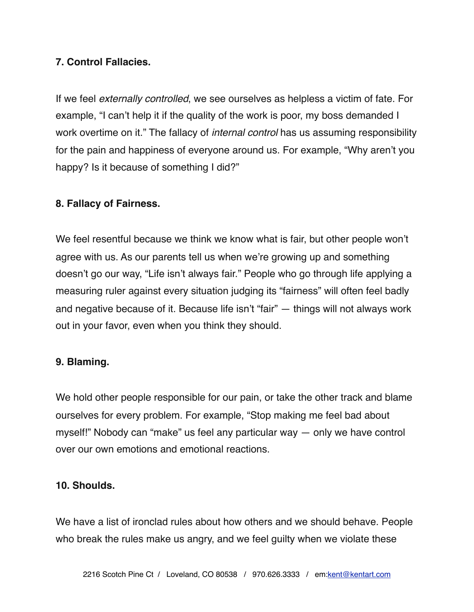# **7. Control Fallacies.**

If we feel *externally controlled*, we see ourselves as helpless a victim of fate. For example, "I can't help it if the quality of the work is poor, my boss demanded I work overtime on it." The fallacy of *internal control* has us assuming responsibility for the pain and happiness of everyone around us. For example, "Why aren't you happy? Is it because of something I did?"

# **8. Fallacy of Fairness.**

We feel resentful because we think we know what is fair, but other people won't agree with us. As our parents tell us when we're growing up and something doesn't go our way, "Life isn't always fair." People who go through life applying a measuring ruler against every situation judging its "fairness" will often feel badly and negative because of it. Because life isn't "fair" — things will not always work out in your favor, even when you think they should.

# **9. Blaming.**

We hold other people responsible for our pain, or take the other track and blame ourselves for every problem. For example, "Stop making me feel bad about myself!" Nobody can "make" us feel any particular way — only we have control over our own emotions and emotional reactions.

### **10. Shoulds.**

We have a list of ironclad rules about how others and we should behave. People who break the rules make us angry, and we feel guilty when we violate these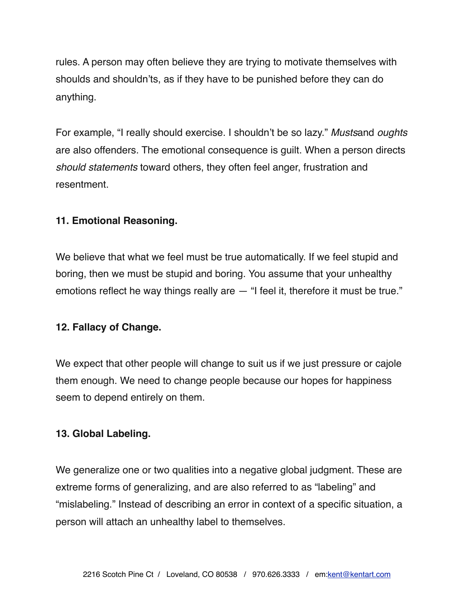rules. A person may often believe they are trying to motivate themselves with shoulds and shouldn'ts, as if they have to be punished before they can do anything.

For example, "I really should exercise. I shouldn't be so lazy." *Musts*and *oughts* are also offenders. The emotional consequence is guilt. When a person directs *should statements* toward others, they often feel anger, frustration and resentment.

### **11. Emotional Reasoning.**

We believe that what we feel must be true automatically. If we feel stupid and boring, then we must be stupid and boring. You assume that your unhealthy emotions reflect he way things really are — "I feel it, therefore it must be true."

### **12. Fallacy of Change.**

We expect that other people will change to suit us if we just pressure or cajole them enough. We need to change people because our hopes for happiness seem to depend entirely on them.

### **13. Global Labeling.**

We generalize one or two qualities into a negative global judgment. These are extreme forms of generalizing, and are also referred to as "labeling" and "mislabeling." Instead of describing an error in context of a specific situation, a person will attach an unhealthy label to themselves.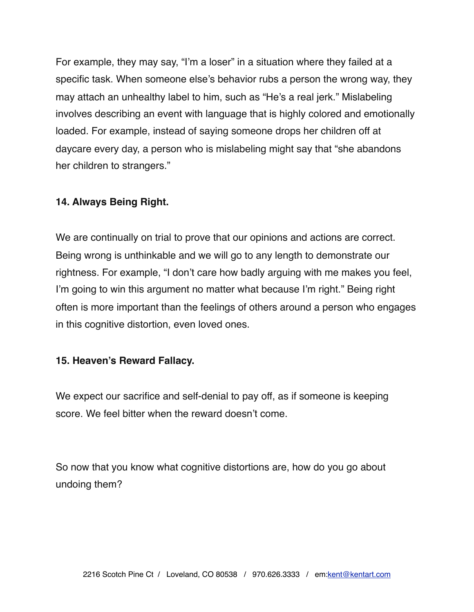For example, they may say, "I'm a loser" in a situation where they failed at a specific task. When someone else's behavior rubs a person the wrong way, they may attach an unhealthy label to him, such as "He's a real jerk." Mislabeling involves describing an event with language that is highly colored and emotionally loaded. For example, instead of saying someone drops her children off at daycare every day, a person who is mislabeling might say that "she abandons her children to strangers."

### **14. Always Being Right.**

We are continually on trial to prove that our opinions and actions are correct. Being wrong is unthinkable and we will go to any length to demonstrate our rightness. For example, "I don't care how badly arguing with me makes you feel, I'm going to win this argument no matter what because I'm right." Being right often is more important than the feelings of others around a person who engages in this cognitive distortion, even loved ones.

#### **15. Heaven's Reward Fallacy.**

We expect our sacrifice and self-denial to pay off, as if someone is keeping score. We feel bitter when the reward doesn't come.

So now that you know what cognitive distortions are, how do you go about undoing them?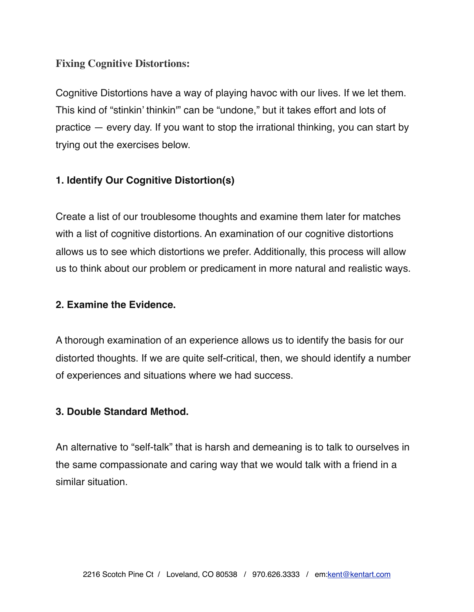# **Fixing Cognitive Distortions:**

Cognitive Distortions have a way of playing havoc with our lives. If we let them. This kind of "stinkin' thinkin'" can be "undone," but it takes effort and lots of practice — every day. If you want to stop the irrational thinking, you can start by trying out the exercises below.

# **1. Identify Our Cognitive Distortion(s)**

Create a list of our troublesome thoughts and examine them later for matches with a list of cognitive distortions. An examination of our cognitive distortions allows us to see which distortions we prefer. Additionally, this process will allow us to think about our problem or predicament in more natural and realistic ways.

### **2. Examine the Evidence.**

A thorough examination of an experience allows us to identify the basis for our distorted thoughts. If we are quite self-critical, then, we should identify a number of experiences and situations where we had success.

### **3. Double Standard Method.**

An alternative to "self-talk" that is harsh and demeaning is to talk to ourselves in the same compassionate and caring way that we would talk with a friend in a similar situation.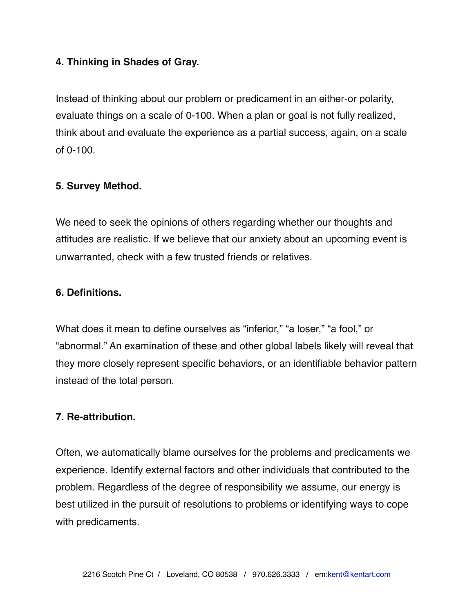### **4. Thinking in Shades of Gray.**

Instead of thinking about our problem or predicament in an either-or polarity, evaluate things on a scale of 0-100. When a plan or goal is not fully realized, think about and evaluate the experience as a partial success, again, on a scale of 0-100.

### **5. Survey Method.**

We need to seek the opinions of others regarding whether our thoughts and attitudes are realistic. If we believe that our anxiety about an upcoming event is unwarranted, check with a few trusted friends or relatives.

### **6. Definitions.**

What does it mean to define ourselves as "inferior," "a loser," "a fool," or "abnormal." An examination of these and other global labels likely will reveal that they more closely represent specific behaviors, or an identifiable behavior pattern instead of the total person.

### **7. Re-attribution.**

Often, we automatically blame ourselves for the problems and predicaments we experience. Identify external factors and other individuals that contributed to the problem. Regardless of the degree of responsibility we assume, our energy is best utilized in the pursuit of resolutions to problems or identifying ways to cope with predicaments.